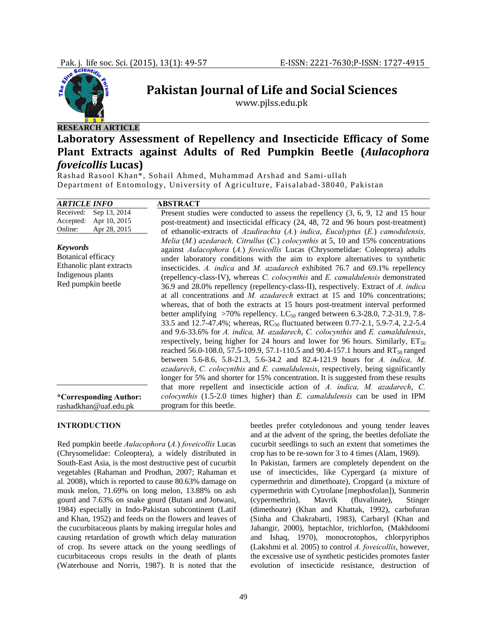

# **Pakistan Journal of Life and Social Sciences**

www.pjlss.edu.pk

# **RESEARCH ARTICLE**

## **Laboratory Assessment of Repellency and Insecticide Efficacy of Some Plant Extracts against Adults of Red Pumpkin Beetle (***Aulacophora foveicollis* **Lucas)**

Rashad Rasool Khan\*, Sohail Ahmed, Muhammad Arshad and Sami-ullah Department of Entomology, University of Agriculture, Faisalabad-38040, Pakistan

| <b>ARTICLE INFO</b>                                                                                          | <b>ABSTRACT</b>                                                                                                                                                                                                                                                                                                                                                                                                                                                                                                                                                                                                                                                                                                                                                                                                                                                                                                                                                                                                                                                                                                                                                                                                                                                                                                                                                                                                                          |
|--------------------------------------------------------------------------------------------------------------|------------------------------------------------------------------------------------------------------------------------------------------------------------------------------------------------------------------------------------------------------------------------------------------------------------------------------------------------------------------------------------------------------------------------------------------------------------------------------------------------------------------------------------------------------------------------------------------------------------------------------------------------------------------------------------------------------------------------------------------------------------------------------------------------------------------------------------------------------------------------------------------------------------------------------------------------------------------------------------------------------------------------------------------------------------------------------------------------------------------------------------------------------------------------------------------------------------------------------------------------------------------------------------------------------------------------------------------------------------------------------------------------------------------------------------------|
| Received:<br>Sep 13, 2014<br>Apr 10, 2015<br>Accepted:<br>Online:<br>Apr 28, 2015                            | Present studies were conducted to assess the repellency $(3, 6, 9, 12, 15)$ hour<br>post-treatment) and insecticidal efficacy (24, 48, 72 and 96 hours post-treatment)<br>of ethanolic-extracts of Azadirachta $(A)$ indica, Eucalyptus $(E)$ camodulensis,                                                                                                                                                                                                                                                                                                                                                                                                                                                                                                                                                                                                                                                                                                                                                                                                                                                                                                                                                                                                                                                                                                                                                                              |
| <b>Keywords</b><br>Botanical efficacy<br>Ethanolic plant extracts<br>Indigenous plants<br>Red pumpkin beetle | Melia (M.) azedarach, Citrullus (C.) colocynthis at 5, 10 and 15% concentrations<br>against Aulacophora (A.) foveicollis Lucas (Chrysomelidae: Coleoptera) adults<br>under laboratory conditions with the aim to explore alternatives to synthetic<br>insecticides. A. indica and M. azadarech exhibited 76.7 and 69.1% repellency<br>(repellency-class-IV), whereas <i>C. colocynthis</i> and <i>E. camaldulensis</i> demonstrated<br>36.9 and 28.0% repellency (repellency-class-II), respectively. Extract of A. indica<br>at all concentrations and <i>M. azadarech</i> extract at 15 and 10% concentrations;<br>whereas, that of both the extracts at 15 hours post-treatment interval performed<br>better amplifying >70% repellency. LC <sub>50</sub> ranged between 6.3-28.0, 7.2-31.9, 7.8-<br>33.5 and 12.7-47.4%; whereas, RC <sub>50</sub> fluctuated between 0.77-2.1, 5.9-7.4, 2.2-5.4<br>and 9.6-33.6% for A. indica, M. azadarech, C. colocynthis and E. camaldulensis,<br>respectively, being higher for 24 hours and lower for 96 hours. Similarly, $ET_{50}$<br>reached 56.0-108.0, 57.5-109.9, 57.1-110.5 and 90.4-157.1 hours and RT <sub>50</sub> ranged<br>between 5.6-8.6, 5.8-21.3, 5.6-34.2 and 82.4-121.9 hours for A. indica, M.<br>azadarech, C. colocynthis and E. camaldulensis, respectively, being significantly<br>longer for 5% and shorter for 15% concentration. It is suggested from these results |
| *Corresponding Author:<br>rashadkhan@uaf.edu.pk                                                              | that more repellent and insecticide action of A. indica, M. azadarech, C.<br>colocynthis (1.5-2.0 times higher) than E. camaldulensis can be used in IPM<br>program for this beetle.                                                                                                                                                                                                                                                                                                                                                                                                                                                                                                                                                                                                                                                                                                                                                                                                                                                                                                                                                                                                                                                                                                                                                                                                                                                     |

#### **INTRODUCTION**

Red pumpkin beetle *Aulacophora* (*A.*) *foveicollis* Lucas (Chrysomelidae: Coleoptera), a widely distributed in South-East Asia, is the most destructive pest of cucurbit vegetables (Rahaman and Prodhan, 2007; Rahaman et al*.* 2008), which is reported to cause 80.63% damage on musk melon, 71.69% on long melon, 13.88% on ash gourd and 7.63% on snake gourd (Butani and Jotwani, 1984) especially in Indo-Pakistan subcontinent (Latif and Khan, 1952) and feeds on the flowers and leaves of the cucurbitaceous plants by making irregular holes and causing retardation of growth which delay maturation of crop. Its severe attack on the young seedlings of cucurbitaceous crops results in the death of plants (Waterhouse and Norris, 1987). It is noted that the

beetles prefer cotyledonous and young tender leaves and at the advent of the spring, the beetles defoliate the cucurbit seedlings to such an extent that sometimes the crop has to be re-sown for 3 to 4 times (Alam, 1969).

In Pakistan, farmers are completely dependent on the use of insecticides, like Cypergard (a mixture of cypermethrin and dimethoate), Cropgard (a mixture of cypermethrin with Cytrolane [mephosfolan]), Sunmerin (cypermethrin), Mavrik (fluvalinate), Stinger (dimethoate) (Khan and Khattak, 1992), carbofuran (Sinha and Chakrabarti, 1983), Carbaryl (Khan and Jahangir, 2000), heptachlor, trichlorfon, (Makhdoomi and Ishaq, 1970), monocrotophos, chlorpyriphos (Lakshmi et al*.* 2005) to control *A. foveicollis*, however, the excessive use of synthetic pesticides promotes faster evolution of insecticide resistance, destruction of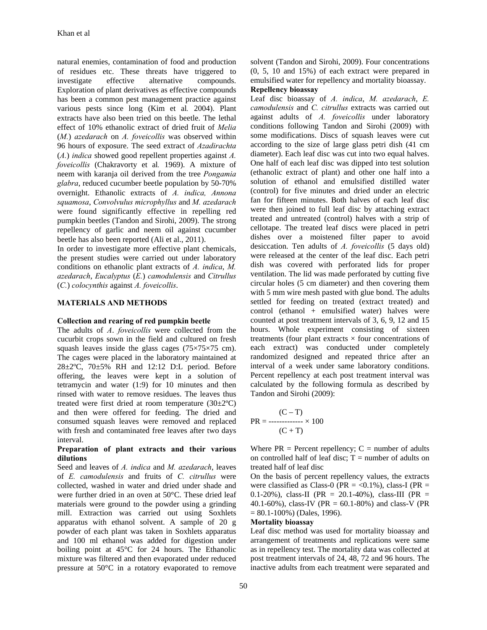natural enemies, contamination of food and production of residues etc. These threats have triggered to investigate effective alternative compounds. Exploration of plant derivatives as effective compounds has been a common pest management practice against various pests since long (Kim et al*.* 2004). Plant extracts have also been tried on this beetle. The lethal effect of 10% ethanolic extract of dried fruit of *Melia*  (*M.*) *azedarach* on *A. foveicollis* was observed within 96 hours of exposure. The seed extract of *Azadirachta*  (*A.*) *indica* showed good repellent properties against *A. foveicollis* (Chakravorty et al*.* 1969). A mixture of neem with karanja oil derived from the tree *Pongamia glabra*, reduced cucumber beetle population by 50-70% overnight. Ethanolic extracts of *A. indica, Annona squamosa*, *Convolvulus microphyllus* and *M. azedarach* were found significantly effective in repelling red pumpkin beetles (Tandon and Sirohi, 2009). The strong repellency of garlic and neem oil against cucumber beetle has also been reported (Ali et al., 2011).

In order to investigate more effective plant chemicals, the present studies were carried out under laboratory conditions on ethanolic plant extracts of *A. indica*, *M. azedarach*, *Eucalyptus* (*E.*) *camodulensis* and *Citrullus*  (*C.*) *colocynthis* against *A. foveicollis*.

### **MATERIALS AND METHODS**

#### **Collection and rearing of red pumpkin beetle**

The adults of *A*. *foveicollis* were collected from the cucurbit crops sown in the field and cultured on fresh squash leaves inside the glass cages  $(75\times75\times75$  cm). The cages were placed in the laboratory maintained at 28±2ºC, 70±5% RH and 12:12 D:L period. Before offering, the leaves were kept in a solution of tetramycin and water (1:9) for 10 minutes and then rinsed with water to remove residues. The leaves thus treated were first dried at room temperature  $(30\pm2^{\circ}\text{C})$ and then were offered for feeding. The dried and consumed squash leaves were removed and replaced with fresh and contaminated free leaves after two days interval.

#### **Preparation of plant extracts and their various dilutions**

Seed and leaves of *A. indica* and *M. azedarach*, leaves of *E. camodulensis* and fruits of *C. citrullus* were collected, washed in water and dried under shade and were further dried in an oven at 50°C. These dried leaf materials were ground to the powder using a grinding mill. Extraction was carried out using Soxhlets apparatus with ethanol solvent. A sample of 20 g powder of each plant was taken in Soxhlets apparatus and 100 ml ethanol was added for digestion under boiling point at 45°C for 24 hours. The Ethanolic mixture was filtered and then evaporated under reduced pressure at 50°C in a rotatory evaporated to remove

solvent (Tandon and Sirohi, 2009). Four concentrations (0, 5, 10 and 15%) of each extract were prepared in emulsified water for repellency and mortality bioassay.

#### **Repellency bioassay**

Leaf disc bioassay of *A. indica*, *M. azedarach*, *E. camodulensis* and *C. citrullus* extracts was carried out against adults of *A. foveicollis* under laboratory conditions following Tandon and Sirohi (2009) with some modifications. Discs of squash leaves were cut according to the size of large glass petri dish (41 cm diameter). Each leaf disc was cut into two equal halves. One half of each leaf disc was dipped into test solution (ethanolic extract of plant) and other one half into a solution of ethanol and emulsified distilled water (control) for five minutes and dried under an electric fan for fifteen minutes. Both halves of each leaf disc were then joined to full leaf disc by attaching extract treated and untreated (control) halves with a strip of cellotape. The treated leaf discs were placed in petri dishes over a moistened filter paper to avoid desiccation. Ten adults of *A. foveicollis* (5 days old) were released at the center of the leaf disc. Each petri dish was covered with perforated lids for proper ventilation. The lid was made perforated by cutting five circular holes (5 cm diameter) and then covering them with 5 mm wire mesh pasted with glue bond. The adults settled for feeding on treated (extract treated) and control (ethanol + emulsified water) halves were counted at post treatment intervals of 3, 6, 9, 12 and 15 hours. Whole experiment consisting of sixteen treatments (four plant extracts  $\times$  four concentrations of each extract) was conducted under completely randomized designed and repeated thrice after an interval of a week under same laboratory conditions. Percent repellency at each post treatment interval was calculated by the following formula as described by Tandon and Sirohi (2009):

$$
PR = \frac{(C - T)}{(C + T)}
$$
  
 
$$
P = \frac{C}{T}
$$

Where  $PR = Percent$  repellency;  $C = number of adults$ on controlled half of leaf disc;  $T =$  number of adults on treated half of leaf disc

On the basis of percent repellency values, the extracts were classified as Class-0 (PR =  $\langle 0.1\%$ ), class-I (PR = 0.1-20%), class-II (PR = 20.1-40%), class-III (PR = 40.1-60%), class-IV (PR = 60.1-80%) and class-V (PR  $= 80.1 - 100\%$ ) (Dales, 1996).

### **Mortality bioassay**

Leaf disc method was used for mortality bioassay and arrangement of treatments and replications were same as in repellency test. The mortality data was collected at post treatment intervals of 24, 48, 72 and 96 hours. The inactive adults from each treatment were separated and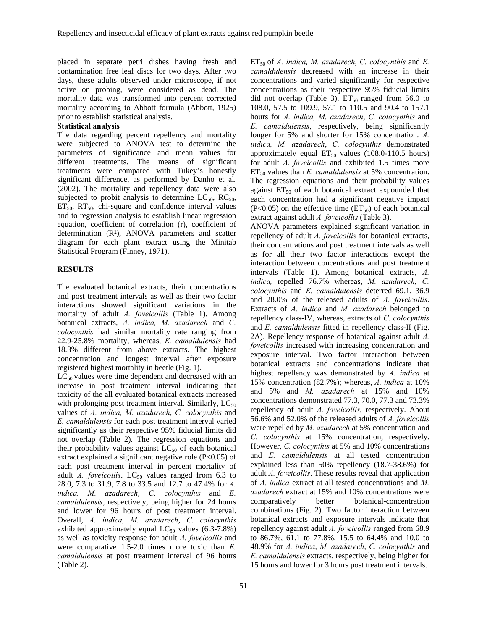placed in separate petri dishes having fresh and contamination free leaf discs for two days. After two days, these adults observed under microscope, if not active on probing, were considered as dead. The mortality data was transformed into percent corrected mortality according to Abbott formula (Abbott, 1925) prior to establish statistical analysis.

#### **Statistical analysis**

The data regarding percent repellency and mortality were subjected to ANOVA test to determine the parameters of significance and mean values for different treatments. The means of significant treatments were compared with Tukey's honestly significant difference, as performed by Danho et al*.*  (2002). The mortality and repellency data were also subjected to probit analysis to determine  $LC_{50}$ ,  $RC_{50}$ ,  $ET_{50}$ ,  $RT_{50}$ , chi-square and confidence interval values and to regression analysis to establish linear regression equation, coefficient of correlation (r), coefficient of determination (R²), ANOVA parameters and scatter diagram for each plant extract using the Minitab Statistical Program (Finney, 1971).

### **RESULTS**

The evaluated botanical extracts, their concentrations and post treatment intervals as well as their two factor interactions showed significant variations in the mortality of adult *A. foveicollis* (Table 1). Among botanical extracts, *A. indica, M. azadarech* and *C. colocynthis* had similar mortality rate ranging from 22.9-25.8% mortality, whereas, *E. camaldulensis* had 18.3% different from above extracts. The highest concentration and longest interval after exposure registered highest mortality in beetle (Fig. 1).

 $LC_{50}$  values were time dependent and decreased with an increase in post treatment interval indicating that toxicity of the all evaluated botanical extracts increased with prolonging post treatment interval. Similarly,  $LC_{50}$ values of *A. indica, M. azadarech*, *C. colocynthis* and *E. camaldulensis* for each post treatment interval varied significantly as their respective 95% fiducial limits did not overlap (Table 2). The regression equations and their probability values against  $LC_{50}$  of each botanical extract explained a significant negative role (P<0.05) of each post treatment interval in percent mortality of adult  $A$ . foveicollis.  $LC_{50}$  values ranged from 6.3 to 28.0, 7.3 to 31.9, 7.8 to 33.5 and 12.7 to 47.4% for *A. indica, M. azadarech*, *C. colocynthis* and *E. camaldulensis*, respectively, being higher for 24 hours and lower for 96 hours of post treatment interval. Overall, *A. indica, M. azadarech*, *C. colocynthis* exhibited approximately equal  $LC_{50}$  values (6.3-7.8%) as well as toxicity response for adult *A. foveicollis* and were comparative 1.5-2.0 times more toxic than *E. camaldulensis* at post treatment interval of 96 hours (Table 2).

ET50 of *A. indica, M. azadarech*, *C. colocynthis* and *E. camaldulensis* decreased with an increase in their concentrations and varied significantly for respective concentrations as their respective 95% fiducial limits did not overlap (Table 3).  $ET_{50}$  ranged from 56.0 to 108.0, 57.5 to 109.9, 57.1 to 110.5 and 90.4 to 157.1 hours for *A. indica, M. azadarech*, *C. colocynthis* and *E. camaldulensis*, respectively, being significantly longer for 5% and shorter for 15% concentration. *A. indica, M. azadarech*, *C. colocynthis* demonstrated approximately equal  $ET_{50}$  values (108.0-110.5 hours) for adult *A. foveicollis* and exhibited 1.5 times more ET50 values than *E. camaldulensis* at 5% concentration. The regression equations and their probability values against  $ET_{50}$  of each botanical extract expounded that each concentration had a significant negative impact  $(P<0.05)$  on the effective time  $(ET_{50})$  of each botanical extract against adult *A. foveicollis* (Table 3).

ANOVA parameters explained significant variation in repellency of adult *A. foveicollis* for botanical extracts, their concentrations and post treatment intervals as well as for all their two factor interactions except the interaction between concentrations and post treatment intervals (Table 1). Among botanical extracts, *A. indica,* repelled 76.7% whereas, *M. azadarech, C. colocynthis* and *E. camaldulensis* deterred 69.1, 36.9 and 28.0% of the released adults of *A. foveicollis*. Extracts of *A. indica* and *M. azadarech* belonged to repellency class-IV, whereas, extracts of *C. colocynthis*  and *E. camaldulensis* fitted in repellency class-II (Fig. 2A). Repellency response of botanical against adult *A. foveicollis* increased with increasing concentration and exposure interval. Two factor interaction between botanical extracts and concentrations indicate that highest repellency was demonstrated by *A. indica* at 15% concentration (82.7%); whereas, *A. indica* at 10% and 5% and *M. azadarech* at 15% and 10% concentrations demonstrated 77.3, 70.0, 77.3 and 73.3% repellency of adult *A. foveicollis*, respectively. About 56.6% and 52.0% of the released adults of *A. foveicollis*  were repelled by *M. azadarech* at 5% concentration and *C. colocynthis* at 15% concentration, respectively. However, *C. colocynthis* at 5% and 10% concentrations and *E. camaldulensis* at all tested concentration explained less than 50% repellency (18.7-38.6%) for adult *A. foveicollis*. These results reveal that application of *A. indica* extract at all tested concentrations and *M. azadarech* extract at 15% and 10% concentrations were comparatively better botanical-concentration combinations (Fig. 2). Two factor interaction between botanical extracts and exposure intervals indicate that repellency against adult *A. foveicollis* ranged from 68.9 to 86.7%, 61.1 to 77.8%, 15.5 to 64.4% and 10.0 to 48.9% for *A. indica*, *M. azadarech*, *C. colocynthis* and *E. camaldulensis* extracts, respectively, being higher for 15 hours and lower for 3 hours post treatment intervals.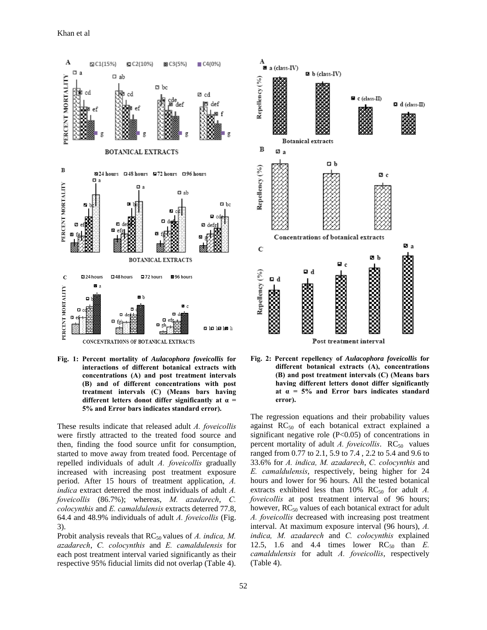

**Fig. 1: Percent mortality of** *Aulacophora foveicollis* **for interactions of different botanical extracts with concentrations (A) and post treatment intervals (B) and of different concentrations with post treatment intervals (C) (Means bars having different letters donot differ significantly at α = 5% and Error bars indicates standard error).** 

These results indicate that released adult *A. foveicollis* were firstly attracted to the treated food source and then, finding the food source unfit for consumption, started to move away from treated food. Percentage of repelled individuals of adult *A. foveicollis* gradually increased with increasing post treatment exposure period. After 15 hours of treatment application, *A. indica* extract deterred the most individuals of adult *A. foveicollis* (86.7%); whereas, *M. azadarech*, *C. colocynthis* and *E. camaldulensis* extracts deterred 77.8, 64.4 and 48.9% individuals of adult *A. foveicollis* (Fig. 3).

Probit analysis reveals that RC<sub>50</sub> values of *A. indica, M. azadarech*, *C. colocynthis* and *E. camaldulensis* for each post treatment interval varied significantly as their respective 95% fiducial limits did not overlap (Table 4).



**Fig. 2: Percent repellency of** *Aulacophora foveicollis* **for different botanical extracts (A), concentrations (B) and post treatment intervals (C) (Means bars having different letters donot differ significantly at α = 5% and Error bars indicates standard error).** 

The regression equations and their probability values against  $RC_{50}$  of each botanical extract explained a significant negative role (P<0.05) of concentrations in percent mortality of adult *A. foveicollis*.  $RC_{50}$  values ranged from 0.77 to 2.1, 5.9 to 7.4 , 2.2 to 5.4 and 9.6 to 33.6% for *A. indica, M. azadarech*, *C. colocynthis* and *E. camaldulensis*, respectively, being higher for 24 hours and lower for 96 hours. All the tested botanical extracts exhibited less than  $10\%$  RC<sub>50</sub> for adult *A*. *foveicollis* at post treatment interval of 96 hours; however,  $RC_{50}$  values of each botanical extract for adult *A. foveicollis* decreased with increasing post treatment interval. At maximum exposure interval (96 hours), *A. indica, M. azadarech* and *C. colocynthis* explained 12.5, 1.6 and 4.4 times lower  $RC_{50}$  than  $E$ . *camaldulensis* for adult *A. foveicollis*, respectively (Table 4).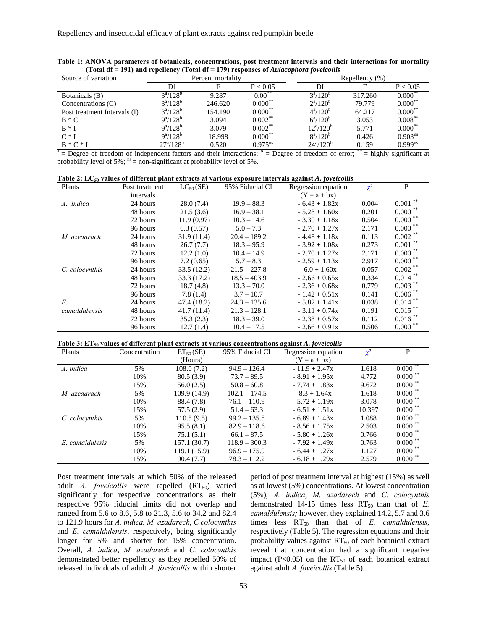| Source of variation          | Percent mortality        |         |              | Repellency $(\%)$        |             |                 |
|------------------------------|--------------------------|---------|--------------|--------------------------|-------------|-----------------|
|                              | Df                       |         | P < 0.05     | Df                       |             | P < 0.05        |
| Botanicals (B)               | $3^a/128^b$              | 9.287   | $0.00^{**}$  | $3^a/120^b$              | 317.260     | $0.000^{\circ}$ |
| Concentrations (C)           | $3^a/128^b$              | 246.620 | $0.000^{**}$ | $2^a/120^b$              | 79.779      | $0.000^{**}$    |
| Post treatment Intervals (I) | $3^a/128^b$              | 154.190 | $0.000^{**}$ | $4^a/120^b$              | 64.217      | $0.000^{**}$    |
| $B * C$                      | $9^a/128^b$              | 3.094   | $0.002***$   | $6^a/120^b$              | 3.053       | $0.008***$      |
| $R * I$                      | $9^a/128^b$              | 3.079   | $0.002$ **   | $12^a/120^b$             | 5.771       | $0.000$ **      |
| $C*I$                        | $9^a/128^b$              | 18.998  | $0.000$ **   | $8^a/120^b$              | 0.426       | $0.903^{ns}$    |
| $B*C*I$                      | $27^{\rm a}/128^{\rm b}$ | 0.520   | $0.975^{ns}$ | $24^{\rm a}/120^{\rm b}$ | 0.159<br>** | $0.999^{ns}$    |

**Table 1: ANOVA parameters of botanicals, concentrations, post treatment intervals and their interactions for mortality (Total df = 191) and repellency (Total df = 179) responses of** *Aulacophora foveicollis*

 $a =$  Degree of freedom of independent factors and their interactions;  $b =$  Degree of freedom of error;  $\dot{b} =$  highly significant at probability level of 5%;  $^{ns}$  = non-significant at probability level of 5%.

| Table 2: $LC_{50}$ values of different plant extracts at various exposure intervals against A. foveicollis |  |  |
|------------------------------------------------------------------------------------------------------------|--|--|
|                                                                                                            |  |  |

| Plants         | Post treatment | $LC_{50}$ (SE) | 95% Fiducial CI | Regression equation | $\chi^2$ | P               |
|----------------|----------------|----------------|-----------------|---------------------|----------|-----------------|
|                | intervals      |                |                 | $(Y = a + bx)$      |          |                 |
| A. indica      | 24 hours       | 28.0(7.4)      | $19.9 - 88.3$   | $-6.43 + 1.82x$     | 0.004    | 0.001           |
|                | 48 hours       | 21.5(3.6)      | $16.9 - 38.1$   | $-5.28 + 1.60x$     | 0.201    | $0.000$ $^{**}$ |
|                | 72 hours       | 11.9(0.97)     | $10.3 - 14.6$   | $-3.30 + 1.18x$     | 0.504    | $0.000$ $^{**}$ |
|                | 96 hours       | 6.3(0.57)      | $5.0 - 7.3$     | $-2.70 + 1.27x$     | 2.171    | $0.000$ **      |
| M. azedarach   | 24 hours       | 31.9(11.4)     | $20.4 - 189.2$  | $-4.48 + 1.18x$     | 0.113    | $0.002$ **      |
|                | 48 hours       | 26.7(7.7)      | $18.3 - 95.9$   | $-3.92 + 1.08x$     | 0.273    | 0.001           |
|                | 72 hours       | 12.2(1.0)      | $10.4 - 14.9$   | $-2.70 + 1.27x$     | 2.171    | $0.000$ **      |
|                | 96 hours       | 7.2(0.65)      | $5.7 - 8.3$     | $-2.59 + 1.13x$     | 2.917    | $0.000$ **      |
| C. colocynthis | 24 hours       | 33.5(12.2)     | $21.5 - 227.8$  | $-6.0 + 1.60x$      | 0.057    | $0.002$ **      |
|                | 48 hours       | 33.3 (17.2)    | $18.5 - 403.9$  | $-2.66 + 0.65x$     | 0.334    | $0.014$ **      |
|                | 72 hours       | 18.7(4.8)      | $13.3 - 70.0$   | $-2.36 + 0.68x$     | 0.779    | $0.003$ **      |
|                | 96 hours       | 7.8(1.4)       | $3.7 - 10.7$    | $-1.42 + 0.51x$     | 0.141    | $0.006$ **      |
| E.             | 24 hours       | 47.4 (18.2)    | $24.3 - 135.6$  | $-5.82 + 1.41x$     | 0.038    | $0.014$ **      |
| camaldulensis  | 48 hours       | 41.7(11.4)     | $21.3 - 128.1$  | $-3.11 + 0.74x$     | 0.191    | $0.015$ **      |
|                | 72 hours       | 35.3(2.3)      | $18.3 - 39.0$   | $-2.38 + 0.57x$     | 0.112    | $0.016$ **      |
|                | 96 hours       | 12.7(1.4)      | $10.4 - 17.5$   | $-2.66 + 0.91x$     | 0.506    | $0.000$ **      |

**Table 3: ET<sub>50</sub> values of different plant extracts at various concentrations against A. foveicollis** 

| Plants          | Concentration | $ET_{50}(SE)$ | 95% Fiducial CI | Regression equation | $\chi^2$ | P               |
|-----------------|---------------|---------------|-----------------|---------------------|----------|-----------------|
|                 |               | (Hours)       |                 | $(Y = a + bx)$      |          |                 |
| A. indica       | 5%            | 108.0(7.2)    | $94.9 - 126.4$  | $-11.9 + 2.47x$     | 1.618    | 0.000           |
|                 | 10%           | 80.5(3.9)     | $73.7 - 89.5$   | $-8.91 + 1.95x$     | 4.772    | $0.000$ **      |
|                 | 15%           | 56.0(2.5)     | $50.8 - 60.8$   | $-7.74 + 1.83x$     | 9.672    | $0.000$ **      |
| M. azedarach    | 5%            | 109.9 (14.9)  | $102.1 - 174.5$ | $-8.3 + 1.64x$      | 1.618    | $0.000^{\circ}$ |
|                 | 10%           | 88.4 (7.8)    | $76.1 - 110.9$  | $-5.72 + 1.19x$     | 3.078    | $0.000$ **      |
|                 | 15%           | 57.5 (2.9)    | $51.4 - 63.3$   | $-6.51 + 1.51x$     | 10.397   | 0.000           |
| C. colocynthis  | 5%            | 110.5(9.5)    | $99.2 - 135.8$  | $-6.89 + 1.43x$     | 1.088    | $0.000$ $^{**}$ |
|                 | 10%           | 95.5(8.1)     | $82.9 - 118.6$  | $-8.56 + 1.75x$     | 2.503    | $0.000$ $^{**}$ |
|                 | 15%           | 75.1(5.1)     | $66.1 - 87.5$   | $-5.80 + 1.26x$     | 0.766    | 0.000           |
| E. camaldulesis | 5%            | 157.1 (30.7)  | $118.9 - 300.3$ | $-7.92 + 1.49x$     | 0.763    | $0.000$ $^{**}$ |
|                 | 10%           | 119.1 (15.9)  | $96.9 - 175.9$  | $-6.44 + 1.27x$     | 1.127    | $0.000^{\circ}$ |
|                 | 15%           | 90.4(7.7)     | $78.3 - 112.2$  | $-6.18 + 1.29x$     | 2.579    | 0.000           |

Post treatment intervals at which 50% of the released adult *A. foveicollis* were repelled (RT<sub>50</sub>) varied significantly for respective concentrations as their respective 95% fiducial limits did not overlap and ranged from 5.6 to 8.6, 5.8 to 21.3, 5.6 to 34.2 and 82.4 to 121.9 hours for *A. indica, M. azadarech*, *C colocynthis* and *E. camaldulensis*, respectively, being significantly longer for 5% and shorter for 15% concentration. Overall, *A. indica*, *M. azadarech* and *C. colocynthis* demonstrated better repellency as they repelled 50% of released individuals of adult *A. foveicollis* within shorter period of post treatment interval at highest (15%) as well as at lowest (5%) concentrations. At lowest concentration (5%), *A. indica*, *M. azadarech* and *C. colocynthis* demonstrated 14-15 times less  $RT_{50}$  than that of  $E$ . *camaldulensis;* however, they explained 14.2, 5.7 and 3.6 times less RT<sub>50</sub> than that of *E. camaldulensis*, respectively (Table 5). The regression equations and their probability values against  $RT_{50}$  of each botanical extract reveal that concentration had a significant negative impact (P<0.05) on the  $RT_{50}$  of each botanical extract against adult *A. foveicollis* (Table 5).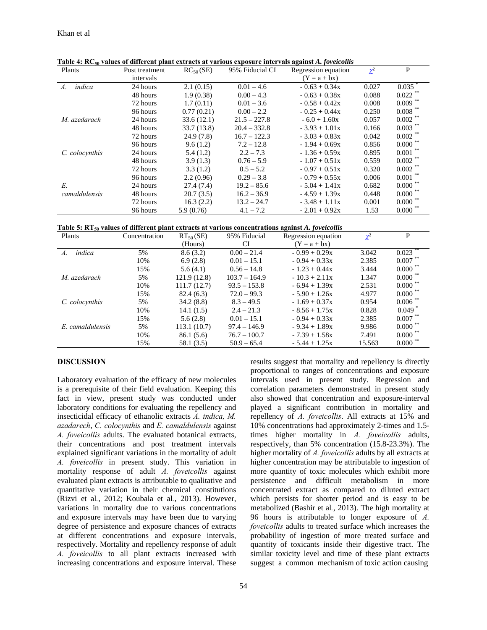| Plants         | Post treatment | $RC_{50}$ (SE) | 95% Fiducial CI | Regression equation | $\chi^2$ | P          |
|----------------|----------------|----------------|-----------------|---------------------|----------|------------|
|                | intervals      |                |                 | $(Y = a + bx)$      |          |            |
| indica<br>A.   | 24 hours       | 2.1(0.15)      | $0.01 - 4.6$    | $-0.63 + 0.34x$     | 0.027    | 0.035      |
|                | 48 hours       | 1.9(0.38)      | $0.00 - 4.3$    | $-0.63 + 0.38x$     | 0.088    | $0.022$ ** |
|                | 72 hours       | 1.7(0.11)      | $0.01 - 3.6$    | $-0.58 + 0.42x$     | 0.008    | $0.009$ ** |
|                | 96 hours       | 0.77(0.21)     | $0.00 - 2.2$    | $-0.25 + 0.44x$     | 0.250    | $0.008$ ** |
| M. azedarach   | 24 hours       | 33.6(12.1)     | $21.5 - 227.8$  | $-6.0 + 1.60x$      | 0.057    | $0.002$ ** |
|                | 48 hours       | 33.7 (13.8)    | $20.4 - 332.8$  | $-3.93 + 1.01x$     | 0.166    | $0.003$ ** |
|                | 72 hours       | 24.9(7.8)      | $16.7 - 122.3$  | $-3.03 + 0.83x$     | 0.042    | 0.002      |
|                | 96 hours       | 9.6(1.2)       | $7.2 - 12.8$    | $-1.94 + 0.69x$     | 0.856    | 0.000      |
| C. colocynthis | 24 hours       | 5.4(1.2)       | $2.2 - 7.3$     | $-1.36 + 0.59x$     | 0.895    | 0.001      |
|                | 48 hours       | 3.9(1.3)       | $0.76 - 5.9$    | $-1.07 + 0.51x$     | 0.559    | 0.002      |
|                | 72 hours       | 3.3(1.2)       | $0.5 - 5.2$     | $-0.97 + 0.51x$     | 0.320    | 0.002      |
|                | 96 hours       | 2.2(0.96)      | $0.29 - 3.8$    | $-0.79 + 0.55x$     | 0.006    | 0.001      |
| E.             | 24 hours       | 27.4(7.4)      | $19.2 - 85.6$   | $-5.04 + 1.41x$     | 0.682    | $0.000$ ** |
| camaldulensis  | 48 hours       | 20.7(3.5)      | $16.2 - 36.9$   | $-4.59 + 1.39x$     | 0.448    | 0.000      |
|                | 72 hours       | 16.3(2.2)      | $13.2 - 24.7$   | $-3.48 + 1.11x$     | 0.001    | 0.000      |
|                | 96 hours       | 5.9(0.76)      | $4.1 - 7.2$     | $-2.01 + 0.92x$     | 1.53     | 0.000      |

Table 4: RC<sub>50</sub> values of different plant extracts at various exposure intervals against *A. foveicollis* 



| Plants                    | Concentration | $RT_{50}$ (SE) | 95% Fiducial    | Regression equation | $\chi^2$ | P                    |
|---------------------------|---------------|----------------|-----------------|---------------------|----------|----------------------|
|                           |               | (Hours)        | CI              | $(Y = a + bx)$      |          |                      |
| indica<br>$\mathcal{A}$ . | 5%            | 8.6(3.2)       | $0.00 - 21.4$   | $-0.99 + 0.29x$     | 3.042    | 0.023                |
|                           | 10%           | 6.9(2.8)       | $0.01 - 15.1$   | $-0.94 + 0.33x$     | 2.385    | 0.007                |
|                           | 15%           | 5.6(4.1)       | $0.56 - 14.8$   | $-1.23 + 0.44x$     | 3.444    | $0.000^{\circ}$      |
| M. azedarach              | 5%            | 121.9(12.8)    | $103.7 - 164.9$ | $-10.3 + 2.11x$     | 1.347    | 0.000                |
|                           | 10%           | 111.7(12.7)    | $93.5 - 153.8$  | $-6.94 + 1.39x$     | 2.531    | 0.000                |
|                           | 15%           | 82.4(6.3)      | $72.0 - 99.3$   | $-5.90 + 1.26x$     | 4.977    | $0.000^{\degree}$    |
| C. colocynthis            | 5%            | 34.2(8.8)      | $8.3 - 49.5$    | $-1.69 + 0.37x$     | 0.954    | 0.006                |
|                           | 10%           | 14.1(1.5)      | $2.4 - 21.3$    | $-8.56 + 1.75x$     | 0.828    | $0.049$ <sup>*</sup> |
|                           | 15%           | 5.6(2.8)       | $0.01 - 15.1$   | $-0.94 + 0.33x$     | 2.385    | 0.007                |
| E. camaldulensis          | 5%            | 113.1(10.7)    | $97.4 - 146.9$  | $-9.34 + 1.89x$     | 9.986    | 0.000                |
|                           | 10%           | 86.1(5.6)      | $76.7 - 100.7$  | $-7.39 + 1.58x$     | 7.491    | 0.000                |
|                           | 15%           | 58.1 (3.5)     | $50.9 - 65.4$   | $-5.44 + 1.25x$     | 15.563   | 0.000                |

#### **DISCUSSION**

Laboratory evaluation of the efficacy of new molecules is a prerequisite of their field evaluation. Keeping this fact in view, present study was conducted under laboratory conditions for evaluating the repellency and insecticidal efficacy of ethanolic extracts *A. indica, M. azadarech*, *C. colocynthis* and *E. camaldulensis* against *A. foveicollis* adults. The evaluated botanical extracts, their concentrations and post treatment intervals explained significant variations in the mortality of adult *A. foveicollis* in present study. This variation in mortality response of adult *A. foveicollis* against evaluated plant extracts is attributable to qualitative and quantitative variation in their chemical constitutions (Rizvi et al*.*, 2012; Koubala et al*.*, 2013). However, variations in mortality due to various concentrations and exposure intervals may have been due to varying degree of persistence and exposure chances of extracts at different concentrations and exposure intervals, respectively. Mortality and repellency response of adult *A. foveicollis* to all plant extracts increased with increasing concentrations and exposure interval. These

results suggest that mortality and repellency is directly proportional to ranges of concentrations and exposure intervals used in present study. Regression and correlation parameters demonstrated in present study also showed that concentration and exposure-interval played a significant contribution in mortality and repellency of *A. foveicollis*. All extracts at 15% and 10% concentrations had approximately 2-times and 1.5 times higher mortality in *A. foveicollis* adults, respectively, than 5% concentration (15.8-23.3%). The higher mortality of *A. foveicollis* adults by all extracts at higher concentration may be attributable to ingestion of more quantity of toxic molecules which exhibit more persistence and difficult metabolism in more concentrated extract as compared to diluted extract which persists for shorter period and is easy to be metabolized (Bashir et al*.*, 2013). The high mortality at 96 hours is attributable to longer exposure of *A. foveicollis* adults to treated surface which increases the probability of ingestion of more treated surface and quantity of toxicants inside their digestive tract. The similar toxicity level and time of these plant extracts suggest a common mechanism of toxic action causing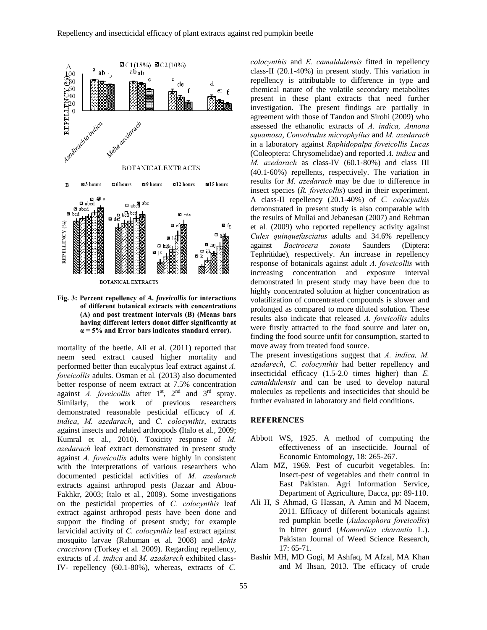

**Fig. 3: Percent repellency of** *A. foveicollis* **for interactions of different botanical extracts with concentrations (A) and post treatment intervals (B) (Means bars having different letters donot differ significantly at α = 5% and Error bars indicates standard error).** 

mortality of the beetle. Ali et al*.* (2011) reported that neem seed extract caused higher mortality and performed better than eucalyptus leaf extract against *A. foveicollis* adults. Osman et al*.* (2013) also documented better response of neem extract at 7.5% concentration against *A. foveicollis* after  $1<sup>st</sup>$ ,  $2<sup>nd</sup>$  and  $3<sup>rd</sup>$  spray. Similarly, the work of previous researchers demonstrated reasonable pesticidal efficacy of *A. indica*, *M. azedarach*, and *C. colocynthis*, extracts against insects and related arthropods **(**Italo et al*.*, 2009; Kumral et al*.*, 2010). Toxicity response of *M. azedarach* leaf extract demonstrated in present study against *A. foveicollis* adults were highly in consistent with the interpretations of various researchers who documented pesticidal activities of *M. azedarach*  extracts against arthropod pests (Jazzar and Abou-Fakhkr, 2003; Italo et al*.*, 2009). Some investigations on the pesticidal properties of *C. colocynthis* leaf extract against arthropod pests have been done and support the finding of present study; for example larvicidal activity of *C. colocynthis* leaf extract against mosquito larvae (Rahuman et al*.* 2008) and *Aphis craccivora* (Torkey et al*.* 2009). Regarding repellency, extracts of *A. indica* and *M. azadarech* exhibited class-IV- repellency (60.1-80%), whereas, extracts of *C.* 

*colocynthis* and *E. camaldulensis* fitted in repellency class-II (20.1-40%) in present study. This variation in repellency is attributable to difference in type and chemical nature of the volatile secondary metabolites present in these plant extracts that need further investigation. The present findings are partially in agreement with those of Tandon and Sirohi (2009) who assessed the ethanolic extracts of *A. indica, Annona squamosa*, *Convolvulus microphyllus* and *M. azedarach* in a laboratory against *Raphidopalpa foveicollis Lucas*  (Coleoptera: Chrysomelidae) and reported *A. indica* and *M. azedarach* as class-IV (60.1‐80%) and class III (40.1‐60%) repellents, respectively. The variation in results for *M. azedarach* may be due to difference in insect species (*R. foveicollis*) used in their experiment. A class-II repellency (20.1-40%) of *C. colocynthis* demonstrated in present study is also comparable with the results of Mullai and Jebanesan (2007) and Rehman et al*.* (2009) who reported repellency activity against *Culex quinquefasciatus* adults and 34.6% repellency against *Bactrocera zonata* Saunders (Diptera: Tephritidae), respectively. An increase in repellency response of botanicals against adult *A. foveicollis* with increasing concentration and exposure interval demonstrated in present study may have been due to highly concentrated solution at higher concentration as volatilization of concentrated compounds is slower and prolonged as compared to more diluted solution. These results also indicate that released *A. foveicollis* adults were firstly attracted to the food source and later on, finding the food source unfit for consumption, started to move away from treated food source.

The present investigations suggest that *A. indica, M. azadarech*, *C. colocynthis* had better repellency and insecticidal efficacy (1.5-2.0 times higher) than *E. camaldulensis* and can be used to develop natural molecules as repellents and insecticides that should be further evaluated in laboratory and field conditions.

#### **REFERENCES**

- Abbott WS, 1925. A method of computing the effectiveness of an insecticide. Journal of Economic Entomology, 18: 265-267.
- Alam MZ, 1969. Pest of cucurbit vegetables. In: Insect-pest of vegetables and their control in East Pakistan. Agri Information Service, Department of Agriculture, Dacca, pp: 89-110.
- Ali H, S Ahmad, G Hassan, A Amin and M Naeem, 2011. Efficacy of different botanicals against red pumpkin beetle (*Aulacophora foveicollis*) in bitter gourd (*Momordica charantia* L.). Pakistan Journal of Weed Science Research, 17: 65-71.
- Bashir MH, MD Gogi, M Ashfaq, M Afzal, MA Khan and M Ihsan, 2013. The efficacy of crude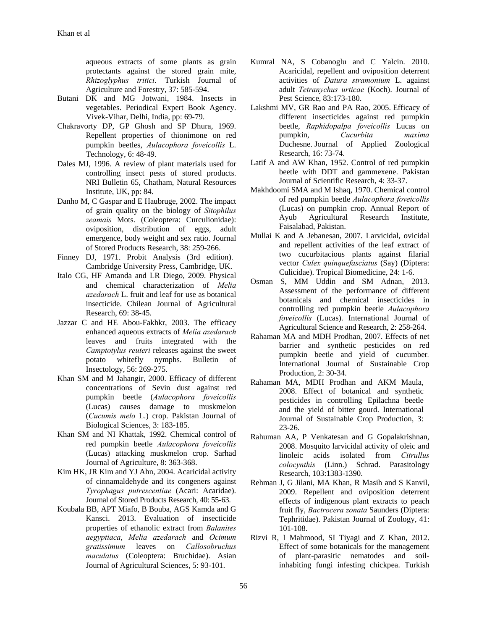aqueous extracts of some plants as grain protectants against the stored grain mite, *Rhizoglyphus tritici*. Turkish Journal of Agriculture and Forestry, 37: 585-594.

- Butani DK and MG Jotwani, 1984. Insects in vegetables. Periodical Expert Book Agency. Vivek-Vihar, Delhi, India, pp: 69-79.
- Chakravorty DP, GP Ghosh and SP Dhura, 1969. Repellent properties of thionimone on red pumpkin beetles, *Aulacophora foveicollis* L. Technology, 6: 48‐49.
- Dales MJ, 1996. A review of plant materials used for controlling insect pests of stored products. NRI Bulletin 65, Chatham, Natural Resources Institute, UK, pp: 84.
- Danho M, C Gaspar and E Haubruge, 2002. The impact of grain quality on the biology of *Sitophilus zeamais* Mots. (Coleoptera: Curculionidae): oviposition, distribution of eggs, adult emergence, body weight and sex ratio. Journal of Stored Products Research, 38: 259-266.
- Finney DJ, 1971. Probit Analysis (3rd edition). Cambridge University Press, Cambridge, UK.
- Italo CG, HF Amanda and LR Diego, 2009. Physical and chemical characterization of *Melia azedarach* L. fruit and leaf for use as botanical insecticide. Chilean Journal of Agricultural Research, 69: 38-45.
- Jazzar C and HE Abou-Fakhkr, 2003. The efficacy enhanced aqueous extracts of *Melia azedarach*  leaves and fruits integrated with the *Camptotylus reuteri* releases against the sweet potato whitefly nymphs. Bulletin of Insectology, 56: 269-275.
- Khan SM and M Jahangir, 2000. Efficacy of different concentrations of Sevin dust against red pumpkin beetle (*Aulacophora foveicollis* (Lucas) causes damage to muskmelon (*Cucumis melo* L.) crop. Pakistan Journal of Biological Sciences, 3: 183-185.
- Khan SM and NI Khattak, 1992. Chemical control of red pumpkin beetle *Aulacophora foveicollis*  (Lucas) attacking muskmelon crop. Sarhad Journal of Agriculture, 8: 363-368.
- Kim HK, JR Kim and YJ Ahn, 2004. Acaricidal activity of cinnamaldehyde and its congeners against *Tyrophagus putrescentiae* (Acari: Acaridae). Journal of Stored Products Research, 40: 55-63.
- Koubala BB, APT Miafo, B Bouba, AGS Kamda and G Kansci. 2013. Evaluation of insecticide properties of ethanolic extract from *Balanites aegyptiaca*, *Melia azedarach* and *Ocimum gratissimum* leaves on *Callosobruchus maculatus* (Coleoptera: Bruchidae). Asian Journal of Agricultural Sciences, 5: 93-101.
- Kumral NA, S Cobanoglu and C Yalcin. 2010. Acaricidal, repellent and oviposition deterrent activities of *Datura stramonium* L. against adult *Tetranychus urticae* (Koch). Journal of Pest Science, 83:173-180.
- Lakshmi MV, GR Rao and PA Rao, 2005. Efficacy of different insecticides against red pumpkin beetle, *Raphidopalpa foveicollis* Lucas on pumpkin, *Cucurbita maxima*  Duchesne. Journal of Applied Zoological Research, 16: 73-74.
- Latif A and AW Khan, 1952. Control of red pumpkin beetle with DDT and gammexene. Pakistan Journal of Scientific Research, 4: 33-37.
- Makhdoomi SMA and M Ishaq, 1970. Chemical control of red pumpkin beetle *Aulacophora foveicollis* (Lucas) on pumpkin crop. Annual Report of Ayub Agricultural Research Institute, Faisalabad, Pakistan.
- Mullai K and A Jebanesan, 2007. Larvicidal, ovicidal and repellent activities of the leaf extract of two cucurbitacious plants against filarial vector *Culex quinquefasciatus* (Say) (Diptera: Culicidae). Tropical Biomedicine, 24: 1-6.
- Osman S, MM Uddin and SM Adnan, 2013. Assessment of the performance of different botanicals and chemical insecticides in controlling red pumpkin beetle *Aulacophora foveicollis* (Lucas). International Journal of Agricultural Science and Research, 2: 258-264.
- Rahaman MA and MDH Prodhan, 2007. Effects of net barrier and synthetic pesticides on red pumpkin beetle and yield of cucumber*.*  International Journal of Sustainable Crop Production, 2: 30-34.
- Rahaman MA, MDH Prodhan and AKM Maula, 2008. Effect of botanical and synthetic pesticides in controlling Epilachna beetle and the yield of bitter gourd. International Journal of Sustainable Crop Production, 3: 23-26.
- Rahuman AA, P Venkatesan and G Gopalakrishnan, 2008. Mosquito larvicidal activity of oleic and linoleic acids isolated from *Citrullus colocynthis* (Linn.) Schrad. Parasitology Research, 103:1383-1390.
- Rehman J, G Jilani, MA Khan, R Masih and S Kanvil, 2009. Repellent and oviposition deterrent effects of indigenous plant extracts to peach fruit fly, *Bactrocera zonata* Saunders (Diptera: Tephritidae). Pakistan Journal of Zoology, 41: 101-108.
- Rizvi R, I Mahmood, SI Tiyagi and Z Khan, 2012. Effect of some botanicals for the management of plant-parasitic nematodes and soilinhabiting fungi infesting chickpea. Turkish